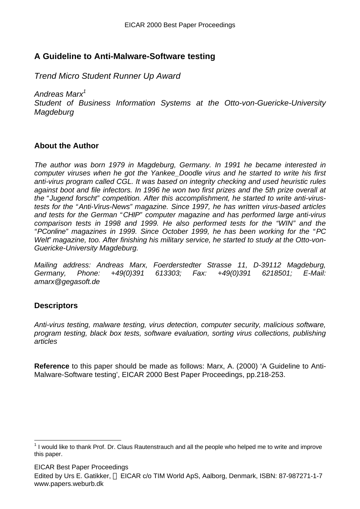## **A Guideline to Anti-Malware-Software testing**

*Trend Micro Student Runner Up Award*

*Andreas Marx<sup>1</sup>*

*Student of Business Information Systems at the Otto-von-Guericke-University Magdeburg*

## **About the Author**

*The author was born 1979 in Magdeburg, Germany. In 1991 he became interested in computer viruses when he got the Yankee\_Doodle virus and he started to write his first anti-virus program called CGL. It was based on integrity checking and used heuristic rules against boot and file infectors. In 1996 he won two first prizes and the 5th prize overall at the " Jugend forscht" competition. After this accomplishment, he started to write anti-virustests for the "Anti-Virus-News" magazine. Since 1997, he has written virus-based articles and tests for the German "CHIP" computer magazine and has performed large anti-virus comparison tests in 1998 and 1999. He also performed tests for the "WIN" and the "PConline" magazines in 1999. Since October 1999, he has been working for the "PC Welt" magazine, too. After finishing his military service, he started to study at the Otto-von-Guericke-University Magdeburg.*

*Mailing address: Andreas Marx, Foerderstedter Strasse 11, D-39112 Magdeburg, Germany, Phone: +49(0)391 613303; Fax: +49(0)391 6218501; E-Mail: amarx@gegasoft.de*

## **Descriptors**

 $\overline{a}$ 

*Anti-virus testing, malware testing, virus detection, computer security, malicious software, program testing, black box tests, software evaluation, sorting virus collections, publishing articles*

**Reference** to this paper should be made as follows: Marx, A. (2000) 'A Guideline to Anti-Malware-Software testing', EICAR 2000 Best Paper Proceedings, pp.218-253.

EICAR Best Paper Proceedings

Edited by Urs E. Gatikker, © EICAR c/o TIM World ApS, Aalborg, Denmark, ISBN: 87-987271-1-7 www.papers.weburb.dk

 $1$  I would like to thank Prof. Dr. Claus Rautenstrauch and all the people who helped me to write and improve this paper.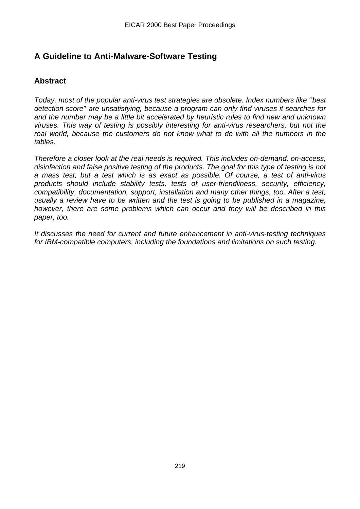# **A Guideline to Anti-Malware-Software Testing**

## **Abstract**

*Today, most of the popular anti-virus test strategies are obsolete. Index numbers like "best detection score" are unsatisfying, because a program can only find viruses it searches for and the number may be a little bit accelerated by heuristic rules to find new and unknown viruses. This way of testing is possibly interesting for anti-virus researchers, but not the real world, because the customers do not know what to do with all the numbers in the tables.*

*Therefore a closer look at the real needs is required. This includes on-demand, on-access, disinfection and false positive testing of the products. The goal for this type of testing is not a mass test, but a test which is as exact as possible. Of course, a test of anti-virus products should include stability tests, tests of user-friendliness, security, efficiency, compatibility, documentation, support, installation and many other things, too. After a test, usually a review have to be written and the test is going to be published in a magazine, however, there are some problems which can occur and they will be described in this paper, too.*

*It discusses the need for current and future enhancement in anti-virus-testing techniques for IBM-compatible computers, including the foundations and limitations on such testing.*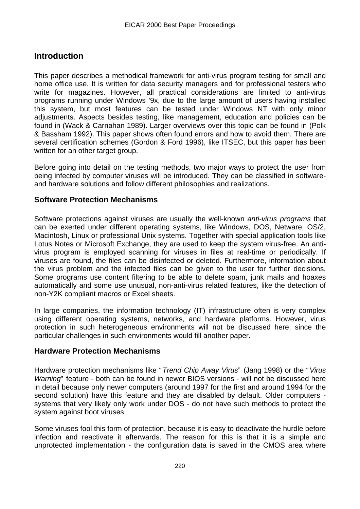## **Introduction**

This paper describes a methodical framework for anti-virus program testing for small and home office use. It is written for data security managers and for professional testers who write for magazines. However, all practical considerations are limited to anti-virus programs running under Windows '9x, due to the large amount of users having installed this system, but most features can be tested under Windows NT with only minor adjustments. Aspects besides testing, like management, education and policies can be found in (Wack & Carnahan 1989). Larger overviews over this topic can be found in (Polk & Bassham 1992). This paper shows often found errors and how to avoid them. There are several certification schemes (Gordon & Ford 1996), like ITSEC, but this paper has been written for an other target group.

Before going into detail on the testing methods, two major ways to protect the user from being infected by computer viruses will be introduced. They can be classified in softwareand hardware solutions and follow different philosophies and realizations.

## **Software Protection Mechanisms**

Software protections against viruses are usually the well-known *anti-virus programs* that can be exerted under different operating systems, like Windows, DOS, Netware, OS/2, Macintosh, Linux or professional Unix systems. Together with special application tools like Lotus Notes or Microsoft Exchange, they are used to keep the system virus-free. An antivirus program is employed scanning for viruses in files at real-time or periodically. If viruses are found, the files can be disinfected or deleted. Furthermore, information about the virus problem and the infected files can be given to the user for further decisions. Some programs use content filtering to be able to delete spam, junk mails and hoaxes automatically and some use unusual, non-anti-virus related features, like the detection of non-Y2K compliant macros or Excel sheets.

In large companies, the information technology (IT) infrastructure often is very complex using different operating systems, networks, and hardware platforms. However, virus protection in such heterogeneous environments will not be discussed here, since the particular challenges in such environments would fill another paper.

## **Hardware Protection Mechanisms**

Hardware protection mechanisms like "*Trend Chip Away Virus*" (Jang 1998) or the "*Virus Warning*" feature - both can be found in newer BIOS versions - will not be discussed here in detail because only newer computers (around 1997 for the first and around 1994 for the second solution) have this feature and they are disabled by default. Older computers systems that very likely only work under DOS - do not have such methods to protect the system against boot viruses.

Some viruses fool this form of protection, because it is easy to deactivate the hurdle before infection and reactivate it afterwards. The reason for this is that it is a simple and unprotected implementation - the configuration data is saved in the CMOS area where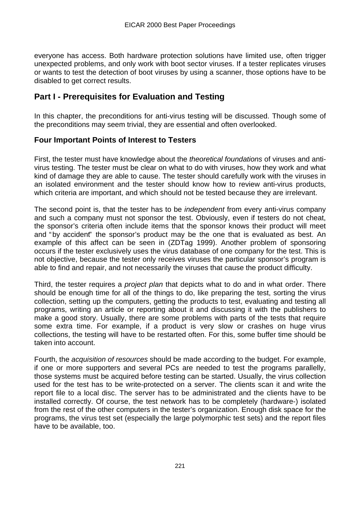everyone has access. Both hardware protection solutions have limited use, often trigger unexpected problems, and only work with boot sector viruses. If a tester replicates viruses or wants to test the detection of boot viruses by using a scanner, those options have to be disabled to get correct results.

## **Part I - Prerequisites for Evaluation and Testing**

In this chapter, the preconditions for anti-virus testing will be discussed. Though some of the preconditions may seem trivial, they are essential and often overlooked.

## **Four Important Points of Interest to Testers**

First, the tester must have knowledge about the *theoretical foundations* of viruses and antivirus testing. The tester must be clear on what to do with viruses, how they work and what kind of damage they are able to cause. The tester should carefully work with the viruses in an isolated environment and the tester should know how to review anti-virus products, which criteria are important, and which should not be tested because they are irrelevant.

The second point is, that the tester has to be *independent* from every anti-virus company and such a company must not sponsor the test. Obviously, even if testers do not cheat, the sponsor's criteria often include items that the sponsor knows their product will meet and "by accident" the sponsor's product may be the one that is evaluated as best. An example of this affect can be seen in (ZDTag 1999). Another problem of sponsoring occurs if the tester exclusively uses the virus database of one company for the test. This is not objective, because the tester only receives viruses the particular sponsor's program is able to find and repair, and not necessarily the viruses that cause the product difficulty.

Third, the tester requires a *project plan* that depicts what to do and in what order. There should be enough time for all of the things to do, like preparing the test, sorting the virus collection, setting up the computers, getting the products to test, evaluating and testing all programs, writing an article or reporting about it and discussing it with the publishers to make a good story. Usually, there are some problems with parts of the tests that require some extra time. For example, if a product is very slow or crashes on huge virus collections, the testing will have to be restarted often. For this, some buffer time should be taken into account.

Fourth, the *acquisition of resources* should be made according to the budget. For example, if one or more supporters and several PCs are needed to test the programs parallelly, those systems must be acquired before testing can be started. Usually, the virus collection used for the test has to be write-protected on a server. The clients scan it and write the report file to a local disc. The server has to be administrated and the clients have to be installed correctly. Of course, the test network has to be completely (hardware-) isolated from the rest of the other computers in the tester's organization. Enough disk space for the programs, the virus test set (especially the large polymorphic test sets) and the report files have to be available, too.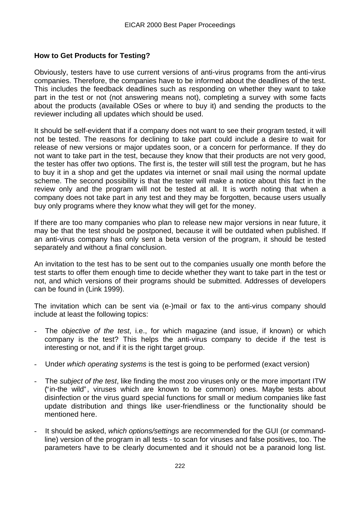### **How to Get Products for Testing?**

Obviously, testers have to use current versions of anti-virus programs from the anti-virus companies. Therefore, the companies have to be informed about the deadlines of the test. This includes the feedback deadlines such as responding on whether they want to take part in the test or not (not answering means not), completing a survey with some facts about the products (available OSes or where to buy it) and sending the products to the reviewer including all updates which should be used.

It should be self-evident that if a company does not want to see their program tested, it will not be tested. The reasons for declining to take part could include a desire to wait for release of new versions or major updates soon, or a concern for performance. If they do not want to take part in the test, because they know that their products are not very good, the tester has offer two options. The first is, the tester will still test the program, but he has to buy it in a shop and get the updates via internet or snail mail using the normal update scheme. The second possibility is that the tester will make a notice about this fact in the review only and the program will not be tested at all. It is worth noting that when a company does not take part in any test and they may be forgotten, because users usually buy only programs where they know what they will get for the money.

If there are too many companies who plan to release new major versions in near future, it may be that the test should be postponed, because it will be outdated when published. If an anti-virus company has only sent a beta version of the program, it should be tested separately and without a final conclusion.

An invitation to the test has to be sent out to the companies usually one month before the test starts to offer them enough time to decide whether they want to take part in the test or not, and which versions of their programs should be submitted. Addresses of developers can be found in (Link 1999).

The invitation which can be sent via (e-)mail or fax to the anti-virus company should include at least the following topics:

- The *objective of the test*, i.e., for which magazine (and issue, if known) or which company is the test? This helps the anti-virus company to decide if the test is interesting or not, and if it is the right target group.
- Under *which operating systems* is the test is going to be performed (exact version)
- The *subject of the test*, like finding the most zoo viruses only or the more important ITW ("in-the wild", viruses which are known to be common) ones. Maybe tests about disinfection or the virus guard special functions for small or medium companies like fast update distribution and things like user-friendliness or the functionality should be mentioned here.
- It should be asked, *which options/settings* are recommended for the GUI (or commandline) version of the program in all tests - to scan for viruses and false positives, too. The parameters have to be clearly documented and it should not be a paranoid long list.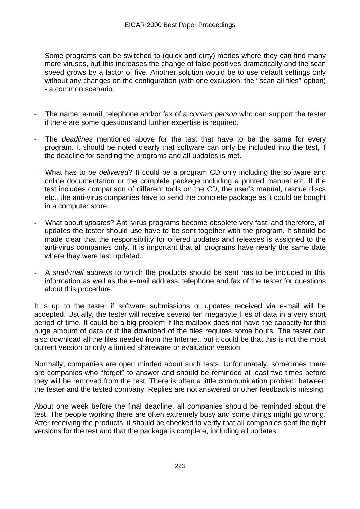Some programs can be switched to (quick and dirty) modes where they can find many more viruses, but this increases the change of false positives dramatically and the scan speed grows by a factor of five. Another solution would be to use default settings only without any changes on the configuration (with one exclusion: the " scan all files" option) - a common scenario.

- The name, e-mail, telephone and/or fax of a *contact person* who can support the tester if there are some questions and further expertise is required.
- The *deadlines* mentioned above for the test that have to be the same for every program. It should be noted clearly that software can only be included into the test, if the deadline for sending the programs and all updates is met.
- What has to be *delivered*? It could be a program CD only including the software and online documentation or the complete package including a printed manual etc. If the test includes comparison of different tools on the CD, the user's manual, rescue discs etc., the anti-virus companies have to send the complete package as it could be bought in a computer store.
- What about *updates*? Anti-virus programs become obsolete very fast, and therefore, all updates the tester should use have to be sent together with the program. It should be made clear that the responsibility for offered updates and releases is assigned to the anti-virus companies only. It is important that all programs have nearly the same date where they were last updated.
- A *snail-mail address* to which the products should be sent has to be included in this information as well as the e-mail address, telephone and fax of the tester for questions about this procedure.

It is up to the tester if software submissions or updates received via e-mail will be accepted. Usually, the tester will receive several ten megabyte files of data in a very short period of time. It could be a big problem if the mailbox does not have the capacity for this huge amount of data or if the download of the files requires some hours. The tester can also download all the files needed from the Internet, but it could be that this is not the most current version or only a limited shareware or evaluation version.

Normally, companies are open minded about such tests. Unfortunately, sometimes there are companies who "forget" to answer and should be reminded at least two times before they will be removed from the test. There is often a little communication problem between the tester and the tested company. Replies are not answered or other feedback is missing.

About one week before the final deadline, all companies should be reminded about the test. The people working there are often extremely busy and some things might go wrong. After receiving the products, it should be checked to verify that all companies sent the right versions for the test and that the package is complete, including all updates.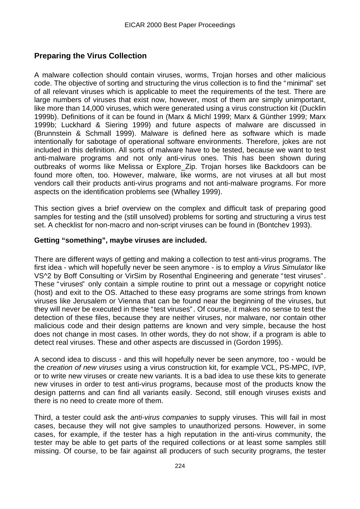## **Preparing the Virus Collection**

A malware collection should contain viruses, worms, Trojan horses and other malicious code. The objective of sorting and structuring the virus collection is to find the "minimal" set of all relevant viruses which is applicable to meet the requirements of the test. There are large numbers of viruses that exist now, however, most of them are simply unimportant, like more than 14,000 viruses, which were generated using a virus construction kit (Ducklin 1999b). Definitions of it can be found in (Marx & Michl 1999; Marx & Günther 1999; Marx 1999b; Luckhard & Siering 1999) and future aspects of malware are discussed in (Brunnstein & Schmall 1999). Malware is defined here as software which is made intentionally for sabotage of operational software environments. Therefore, jokes are not included in this definition. All sorts of malware have to be tested, because we want to test anti-malware programs and not only anti-virus ones. This has been shown during outbreaks of worms like Melissa or Explore\_Zip. Trojan horses like Backdoors can be found more often, too. However, malware, like worms, are not viruses at all but most vendors call their products anti-virus programs and not anti-malware programs. For more aspects on the identification problems see (Whalley 1999).

This section gives a brief overview on the complex and difficult task of preparing good samples for testing and the (still unsolved) problems for sorting and structuring a virus test set. A checklist for non-macro and non-script viruses can be found in (Bontchev 1993).

### **Getting "something", maybe viruses are included.**

There are different ways of getting and making a collection to test anti-virus programs. The first idea - which will hopefully never be seen anymore - is to employ a *Virus Simulator* like VS^2 by Boff Consulting or VirSim by Rosenthal Engineering and generate "test viruses". These " viruses" only contain a simple routine to print out a message or copyright notice (host) and exit to the OS. Attached to these easy programs are some strings from known viruses like Jerusalem or Vienna that can be found near the beginning of the viruses, but they will never be executed in these "test viruses". Of course, it makes no sense to test the detection of these files, because they are neither viruses, nor malware, nor contain other malicious code and their design patterns are known and very simple, because the host does not change in most cases. In other words, they do not show, if a program is able to detect real viruses. These and other aspects are discussed in (Gordon 1995).

A second idea to discuss - and this will hopefully never be seen anymore, too - would be the *creation of new viruses* using a virus construction kit, for example VCL, PS-MPC, IVP, or to write new viruses or create new variants. It is a bad idea to use these kits to generate new viruses in order to test anti-virus programs, because most of the products know the design patterns and can find all variants easily. Second, still enough viruses exists and there is no need to create more of them.

Third, a tester could ask the *anti-virus companies* to supply viruses. This will fail in most cases, because they will not give samples to unauthorized persons. However, in some cases, for example, if the tester has a high reputation in the anti-virus community, the tester may be able to get parts of the required collections or at least some samples still missing. Of course, to be fair against all producers of such security programs, the tester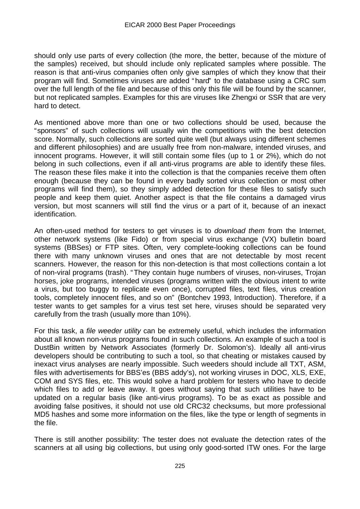should only use parts of every collection (the more, the better, because of the mixture of the samples) received, but should include only replicated samples where possible. The reason is that anti-virus companies often only give samples of which they know that their program will find. Sometimes viruses are added "hard" to the database using a CRC sum over the full length of the file and because of this only this file will be found by the scanner, but not replicated samples. Examples for this are viruses like Zhengxi or SSR that are very hard to detect.

As mentioned above more than one or two collections should be used, because the "sponsors" of such collections will usually win the competitions with the best detection score. Normally, such collections are sorted quite well (but always using different schemes and different philosophies) and are usually free from non-malware, intended viruses, and innocent programs. However, it will still contain some files (up to 1 or 2%), which do not belong in such collections, even if all anti-virus programs are able to identify these files. The reason these files make it into the collection is that the companies receive them often enough (because they can be found in every badly sorted virus collection or most other programs will find them), so they simply added detection for these files to satisfy such people and keep them quiet. Another aspect is that the file contains a damaged virus version, but most scanners will still find the virus or a part of it, because of an inexact identification.

An often-used method for testers to get viruses is to *download them* from the Internet, other network systems (like Fido) or from special virus exchange (VX) bulletin board systems (BBSes) or FTP sites. Often, very complete-looking collections can be found there with many unknown viruses and ones that are not detectable by most recent scanners. However, the reason for this non-detection is that most collections contain a lot of non-viral programs (trash). "They contain huge numbers of viruses, non-viruses, Trojan horses, joke programs, intended viruses (programs written with the obvious intent to write a virus, but too buggy to replicate even once), corrupted files, text files, virus creation tools, completely innocent files, and so on" (Bontchev 1993, Introduction). Therefore, if a tester wants to get samples for a virus test set here, viruses should be separated very carefully from the trash (usually more than 10%).

For this task, a *file weeder utility* can be extremely useful, which includes the information about all known non-virus programs found in such collections. An example of such a tool is DustBin written by Network Associates (formerly Dr. Solomon's). Ideally all anti-virus developers should be contributing to such a tool, so that cheating or mistakes caused by inexact virus analyses are nearly impossible. Such weeders should include all TXT, ASM, files with advertisements for BBS'es (BBS addy's), not working viruses in DOC, XLS, EXE, COM and SYS files, etc. This would solve a hard problem for testers who have to decide which files to add or leave away. It goes without saying that such utilities have to be updated on a regular basis (like anti-virus programs). To be as exact as possible and avoiding false positives, it should not use old CRC32 checksums, but more professional MD5 hashes and some more information on the files, like the type or length of segments in the file.

There is still another possibility: The tester does not evaluate the detection rates of the scanners at all using big collections, but using only good-sorted ITW ones. For the large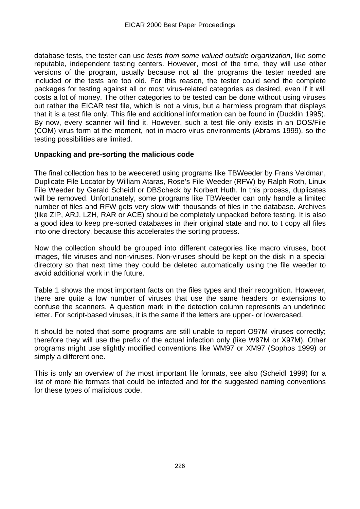database tests, the tester can use *tests from some valued outside organization*, like some reputable, independent testing centers. However, most of the time, they will use other versions of the program, usually because not all the programs the tester needed are included or the tests are too old. For this reason, the tester could send the complete packages for testing against all or most virus-related categories as desired, even if it will costs a lot of money. The other categories to be tested can be done without using viruses but rather the EICAR test file, which is not a virus, but a harmless program that displays that it is a test file only. This file and additional information can be found in (Ducklin 1995). By now, every scanner will find it. However, such a test file only exists in an DOS/File (COM) virus form at the moment, not in macro virus environments (Abrams 1999), so the testing possibilities are limited.

### **Unpacking and pre-sorting the malicious code**

The final collection has to be weedered using programs like TBWeeder by Frans Veldman, Duplicate File Locator by William Ataras, Rose's File Weeder (RFW) by Ralph Roth, Linux File Weeder by Gerald Scheidl or DBScheck by Norbert Huth. In this process, duplicates will be removed. Unfortunately, some programs like TBWeeder can only handle a limited number of files and RFW gets very slow with thousands of files in the database. Archives (like ZIP, ARJ, LZH, RAR or ACE) should be completely unpacked before testing. It is also a good idea to keep pre-sorted databases in their original state and not to t copy all files into one directory, because this accelerates the sorting process.

Now the collection should be grouped into different categories like macro viruses, boot images, file viruses and non-viruses. Non-viruses should be kept on the disk in a special directory so that next time they could be deleted automatically using the file weeder to avoid additional work in the future.

Table 1 shows the most important facts on the files types and their recognition. However, there are quite a low number of viruses that use the same headers or extensions to confuse the scanners. A question mark in the detection column represents an undefined letter. For script-based viruses, it is the same if the letters are upper- or lowercased.

It should be noted that some programs are still unable to report O97M viruses correctly; therefore they will use the prefix of the actual infection only (like W97M or X97M). Other programs might use slightly modified conventions like WM97 or XM97 (Sophos 1999) or simply a different one.

This is only an overview of the most important file formats, see also (Scheidl 1999) for a list of more file formats that could be infected and for the suggested naming conventions for these types of malicious code.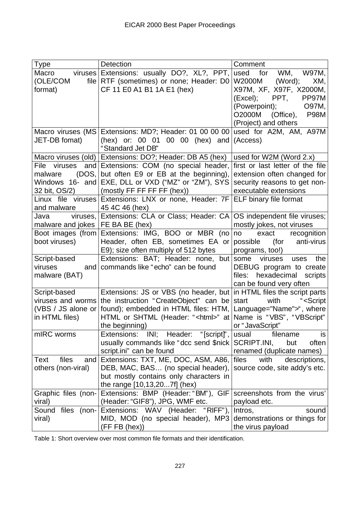| <b>Type</b>           | <b>Detection</b>                                                     | Comment                             |
|-----------------------|----------------------------------------------------------------------|-------------------------------------|
| Macro                 | viruses Extensions: usually DO?, XL?, PPT,                           | used for<br>W97M,<br>WM,            |
| (OLE/COM              | file RTF (sometimes) or none; Header: D0                             | W2000M<br>(Word);<br>XM,            |
| format)               | CF 11 E0 A1 B1 1A E1 (hex)                                           | X97M, XF, X97F, X2000M,             |
|                       |                                                                      | PP97M<br>(Excel);<br>PPT,           |
|                       |                                                                      | (Powerpoint);<br>O97M,              |
|                       |                                                                      | <b>P98M</b><br>O2000M (Office),     |
|                       |                                                                      | (Project) and others                |
| Macro viruses (MS)    | Extensions: MD?; Header: 01 00 00 00                                 | used for A2M, AM, A97M              |
| JET-DB fomat)         | (hex) or: 00 01 00 00 (hex) and                                      | (Access)                            |
|                       | "Standard Jet DB"                                                    |                                     |
|                       | Macro viruses (old)   Extensions: DO?; Header: DB A5 (hex)           | used for W2M (Word 2.x)             |
| File viruses          | and Extensions: COM (no special header,                              | first or last letter of the file    |
| (DOS,  <br>malware    | but often E9 or EB at the beginning),                                | extension often changed for         |
| Windows 16- and       | EXE, DLL or VXD ("MZ" or "ZM"), SYS                                  | security reasons to get non-        |
| 32 bit, OS/2)         | (mostly FF FF FF FF (hex))                                           | executable extensions               |
| Linux file viruses    | Extensions: LNX or none, Header: 7F                                  | ELF binary file format              |
| and malware           | 45 4C 46 (hex)                                                       |                                     |
| Java<br>viruses,      | Extensions: CLA or Class; Header: CA                                 | OS independent file viruses;        |
| malware and jokes     | FE BA BE (hex)                                                       | mostly jokes, not viruses           |
| Boot images (from     | Extensions: IMG, BOO or MBR (no                                      | exact<br>recognition<br>no          |
| boot viruses)         | Header, often EB, sometimes EA or                                    | anti-virus<br>possible<br>(for      |
|                       | E9); size often multiply of 512 bytes                                | programs, too!)                     |
| Script-based          | Extensions: BAT; Header: none, but                                   | some<br>viruses<br>the<br>uses      |
| viruses               | and   commands like "echo" can be found                              | DEBUG program to create             |
| malware (BAT)         |                                                                      | hexadecimal<br>files:<br>scripts    |
|                       |                                                                      | can be found very often             |
| Script-based          | Extensions: JS or VBS (no header, but in HTML files the script parts |                                     |
|                       | viruses and worms the instruction "CreateObject" can be start        | with<br>" <script< td=""></script<> |
| (VBS / JS alone or    | found); embedded in HTML files: HTM,                                 | Language="Name">", where            |
| in HTML files)        | HTML or SHTML (Header: " <html>" at</html>                           | Name is "VBS", "VBScript"           |
|                       | the beginning)                                                       | or "JavaScript"                     |
| mIRC worms            | INI; Header: "[script]",<br>Extensions:                              | usual<br>filename<br>is             |
|                       | usually commands like "dcc send \$nick                               | SCRIPT.INI,<br>often<br>but         |
|                       | script.ini" can be found                                             | renamed (duplicate names)           |
| files<br>Text<br>and  | Extensions: TXT, ME, DOC, ASM, A86,                                  | files<br>with<br>descriptions,      |
| others (non-viral)    | DEB, MAC, BAS (no special header),                                   | source code, site addy's etc.       |
|                       | but mostly contains only characters in                               |                                     |
|                       | the range [10,13,207f] (hex)                                         |                                     |
| Graphic files (non-   | Extensions: BMP (Header: "BM"), GIF                                  | screenshots from the virus'         |
| viral)                | (Header: "GIF8"), JPG, WMF etc.                                      | payload etc.                        |
| files (non-)<br>Sound | Extensions: WAV<br>(Header: "RIFF"),                                 | Intros,<br>sound                    |
| viral)                | MID, MOD (no special header), MP3                                    | demonstrations or things for        |
|                       | $(FFFB$ (hex))                                                       | the virus payload                   |

Table 1: Short overview over most common file formats and their identification.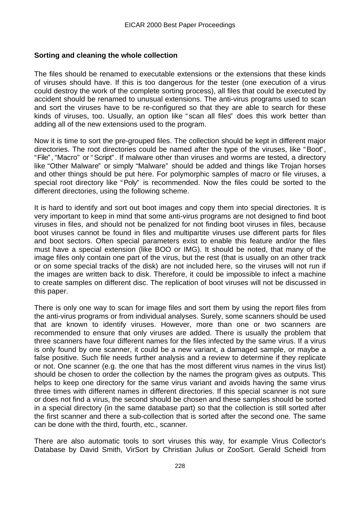### **Sorting and cleaning the whole collection**

The files should be renamed to executable extensions or the extensions that these kinds of viruses should have. If this is too dangerous for the tester (one execution of a virus could destroy the work of the complete sorting process), all files that could be executed by accident should be renamed to unusual extensions. The anti-virus programs used to scan and sort the viruses have to be re-configured so that they are able to search for these kinds of viruses, too. Usually, an option like " scan all files" does this work better than adding all of the new extensions used to the program.

Now it is time to sort the pre-grouped files. The collection should be kept in different major directories. The root directories could be named after the type of the viruses, like "Boot", "File", "Macro" or "Script". If malware other than viruses and worms are tested, a directory like "Other Malware" or simply "Malware" should be added and things like Trojan horses and other things should be put here. For polymorphic samples of macro or file viruses, a special root directory like "Poly" is recommended. Now the files could be sorted to the different directories, using the following scheme.

It is hard to identify and sort out boot images and copy them into special directories. It is very important to keep in mind that some anti-virus programs are not designed to find boot viruses in files, and should not be penalized for not finding boot viruses in files, because boot viruses cannot be found in files and multipartite viruses use different parts for files and boot sectors. Often special parameters exist to enable this feature and/or the files must have a special extension (like BOO or IMG). It should be noted, that many of the image files only contain one part of the virus, but the rest (that is usually on an other track or on some special tracks of the disk) are not included here, so the viruses will not run if the images are written back to disk. Therefore, it could be impossible to infect a machine to create samples on different disc. The replication of boot viruses will not be discussed in this paper.

There is only one way to scan for image files and sort them by using the report files from the anti-virus programs or from individual analyses. Surely, some scanners should be used that are known to identify viruses. However, more than one or two scanners are recommended to ensure that only viruses are added. There is usually the problem that three scanners have four different names for the files infected by the same virus. If a virus is only found by one scanner, it could be a new variant, a damaged sample, or maybe a false positive. Such file needs further analysis and a review to determine if they replicate or not. One scanner (e.g. the one that has the most different virus names in the virus list) should be chosen to order the collection by the names the program gives as outputs. This helps to keep one directory for the same virus variant and avoids having the same virus three times with different names in different directories. If this special scanner is not sure or does not find a virus, the second should be chosen and these samples should be sorted in a special directory (in the same database part) so that the collection is still sorted after the first scanner and there a sub-collection that is sorted after the second one. The same can be done with the third, fourth, etc., scanner.

There are also automatic tools to sort viruses this way, for example Virus Collector's Database by David Smith, VirSort by Christian Julius or ZooSort. Gerald Scheidl from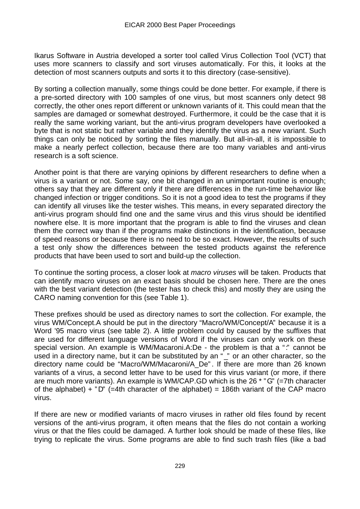Ikarus Software in Austria developed a sorter tool called Virus Collection Tool (VCT) that uses more scanners to classify and sort viruses automatically. For this, it looks at the detection of most scanners outputs and sorts it to this directory (case-sensitive).

By sorting a collection manually, some things could be done better. For example, if there is a pre-sorted directory with 100 samples of one virus, but most scanners only detect 98 correctly, the other ones report different or unknown variants of it. This could mean that the samples are damaged or somewhat destroyed. Furthermore, it could be the case that it is really the same working variant, but the anti-virus program developers have overlooked a byte that is not static but rather variable and they identify the virus as a new variant. Such things can only be noticed by sorting the files manually. But all-in-all, it is impossible to make a nearly perfect collection, because there are too many variables and anti-virus research is a soft science.

Another point is that there are varying opinions by different researchers to define when a virus is a variant or not. Some say, one bit changed in an unimportant routine is enough; others say that they are different only if there are differences in the run-time behavior like changed infection or trigger conditions. So it is not a good idea to test the programs if they can identify all viruses like the tester wishes. This means, in every separated directory the anti-virus program should find one and the same virus and this virus should be identified nowhere else. It is more important that the program is able to find the viruses and clean them the correct way than if the programs make distinctions in the identification, because of speed reasons or because there is no need to be so exact. However, the results of such a test only show the differences between the tested products against the reference products that have been used to sort and build-up the collection.

To continue the sorting process, a closer look at *macro viruses* will be taken. Products that can identify macro viruses on an exact basis should be chosen here. There are the ones with the best variant detection (the tester has to check this) and mostly they are using the CARO naming convention for this (see Table 1).

These prefixes should be used as directory names to sort the collection. For example, the virus WM/Concept.A should be put in the directory "Macro/WM/Concept/A" because it is a Word '95 macro virus (see table 2). A little problem could by caused by the suffixes that are used for different language versions of Word if the viruses can only work on these special version. An example is WM/Macaroni.A:De - the problem is that a ":" cannot be used in a directory name, but it can be substituted by an "\_" or an other character, so the directory name could be "Macro/WM/Macaroni/A\_De" . If there are more than 26 known variants of a virus, a second letter have to be used for this virus variant (or more, if there are much more variants). An example is WM/CAP.GD which is the 26 \* "G" (=7th character of the alphabet) + "D" (=4th character of the alphabet) = 186th variant of the CAP macro virus.

If there are new or modified variants of macro viruses in rather old files found by recent versions of the anti-virus program, it often means that the files do not contain a working virus or that the files could be damaged. A further look should be made of these files, like trying to replicate the virus. Some programs are able to find such trash files (like a bad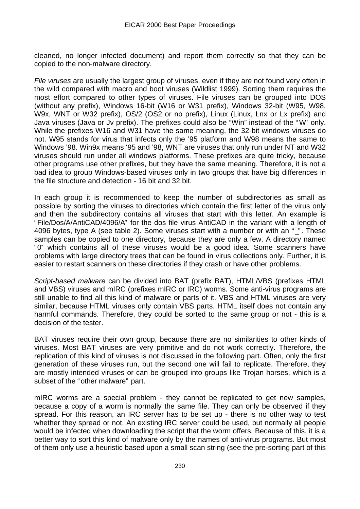cleaned, no longer infected document) and report them correctly so that they can be copied to the non-malware directory.

*File viruses* are usually the largest group of viruses, even if they are not found very often in the wild compared with macro and boot viruses (Wildlist 1999). Sorting them requires the most effort compared to other types of viruses. File viruses can be grouped into DOS (without any prefix), Windows 16-bit (W16 or W31 prefix), Windows 32-bit (W95, W98, W9x, WNT or W32 prefix), OS/2 (OS2 or no prefix), Linux (Linux, Lnx or Lx prefix) and Java viruses (Java or Jv prefix). The prefixes could also be "Win" instead of the "W" only. While the prefixes W16 and W31 have the same meaning, the 32-bit windows viruses do not. W95 stands for virus that infects only the '95 platform and W98 means the same to Windows '98. Win9x means '95 and '98, WNT are viruses that only run under NT and W32 viruses should run under all windows platforms. These prefixes are quite tricky, because other programs use other prefixes, but they have the same meaning. Therefore, it is not a bad idea to group Windows-based viruses only in two groups that have big differences in the file structure and detection - 16 bit and 32 bit.

In each group it is recommended to keep the number of subdirectories as small as possible by sorting the viruses to directories which contain the first letter of the virus only and then the subdirectory contains all viruses that start with this letter. An example is "File/Dos/A/AntiCAD/4096/A" for the dos file virus AntiCAD in the variant with a length of 4096 bytes, type A (see table 2). Some viruses start with a number or with an "\_". These samples can be copied to one directory, because they are only a few. A directory named "0" which contains all of these viruses would be a good idea. Some scanners have problems with large directory trees that can be found in virus collections only. Further, it is easier to restart scanners on these directories if they crash or have other problems.

*Script-based malware* can be divided into BAT (prefix BAT), HTML/VBS (prefixes HTML and VBS) viruses and mIRC (prefixes mIRC or IRC) worms. Some anti-virus programs are still unable to find all this kind of malware or parts of it. VBS and HTML viruses are very similar, because HTML viruses only contain VBS parts. HTML itself does not contain any harmful commands. Therefore, they could be sorted to the same group or not - this is a decision of the tester.

BAT viruses require their own group, because there are no similarities to other kinds of viruses. Most BAT viruses are very primitive and do not work correctly. Therefore, the replication of this kind of viruses is not discussed in the following part. Often, only the first generation of these viruses run, but the second one will fail to replicate. Therefore, they are mostly intended viruses or can be grouped into groups like Trojan horses, which is a subset of the "other malware" part.

mIRC worms are a special problem - they cannot be replicated to get new samples, because a copy of a worm is normally the same file. They can only be observed if they spread. For this reason, an IRC server has to be set up - there is no other way to test whether they spread or not. An existing IRC server could be used, but normally all people would be infected when downloading the script that the worm offers. Because of this, it is a better way to sort this kind of malware only by the names of anti-virus programs. But most of them only use a heuristic based upon a small scan string (see the pre-sorting part of this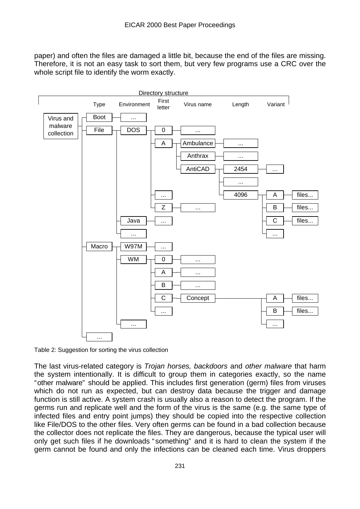paper) and often the files are damaged a little bit, because the end of the files are missing. Therefore, it is not an easy task to sort them, but very few programs use a CRC over the whole script file to identify the worm exactly.



Table 2: Suggestion for sorting the virus collection

The last virus-related category is *Trojan horses, backdoors* and *other malware* that harm the system intentionally. It is difficult to group them in categories exactly, so the name "other malware" should be applied. This includes first generation (germ) files from viruses which do not run as expected, but can destroy data because the trigger and damage function is still active. A system crash is usually also a reason to detect the program. If the germs run and replicate well and the form of the virus is the same (e.g. the same type of infected files and entry point jumps) they should be copied into the respective collection like File/DOS to the other files. Very often germs can be found in a bad collection because the collector does not replicate the files. They are dangerous, because the typical user will only get such files if he downloads " something" and it is hard to clean the system if the germ cannot be found and only the infections can be cleaned each time. Virus droppers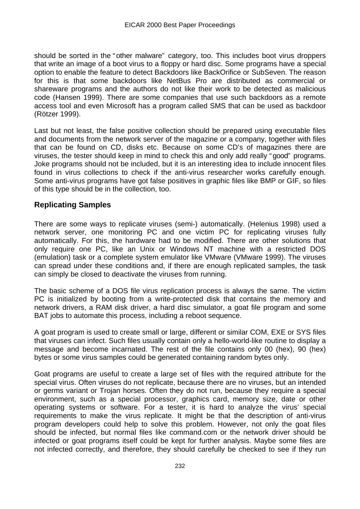should be sorted in the "other malware" category, too. This includes boot virus droppers that write an image of a boot virus to a floppy or hard disc. Some programs have a special option to enable the feature to detect Backdoors like BackOrifice or SubSeven. The reason for this is that some backdoors like NetBus Pro are distributed as commercial or shareware programs and the authors do not like their work to be detected as malicious code (Hansen 1999). There are some companies that use such backdoors as a remote access tool and even Microsoft has a program called SMS that can be used as backdoor (Rötzer 1999).

Last but not least, the false positive collection should be prepared using executable files and documents from the network server of the magazine or a company, together with files that can be found on CD, disks etc. Because on some CD's of magazines there are viruses, the tester should keep in mind to check this and only add really "good" programs. Joke programs should not be included, but it is an interesting idea to include innocent files found in virus collections to check if the anti-virus researcher works carefully enough. Some anti-virus programs have got false positives in graphic files like BMP or GIF, so files of this type should be in the collection, too.

## **Replicating Samples**

There are some ways to replicate viruses (semi-) automatically. (Helenius 1998) used a network server, one monitoring PC and one victim PC for replicating viruses fully automatically. For this, the hardware had to be modified. There are other solutions that only require one PC, like an Unix or Windows NT machine with a restricted DOS (emulation) task or a complete system emulator like VMware (VMware 1999). The viruses can spread under these conditions and, if there are enough replicated samples, the task can simply be closed to deactivate the viruses from running.

The basic scheme of a DOS file virus replication process is always the same. The victim PC is initialized by booting from a write-protected disk that contains the memory and network drivers, a RAM disk driver, a hard disc simulator, a goat file program and some BAT jobs to automate this process, including a reboot sequence.

A goat program is used to create small or large, different or similar COM, EXE or SYS files that viruses can infect. Such files usually contain only a hello-world-like routine to display a message and become incarnated. The rest of the file contains only 00 (hex), 90 (hex) bytes or some virus samples could be generated containing random bytes only.

Goat programs are useful to create a large set of files with the required attribute for the special virus. Often viruses do not replicate, because there are no viruses, but an intended or germs variant or Trojan horses. Often they do not run, because they require a special environment, such as a special processor, graphics card, memory size, date or other operating systems or software. For a tester, it is hard to analyze the virus' special requirements to make the virus replicate. It might be that the description of anti-virus program developers could help to solve this problem. However, not only the goat files should be infected, but normal files like command.com or the network driver should be infected or goat programs itself could be kept for further analysis. Maybe some files are not infected correctly, and therefore, they should carefully be checked to see if they run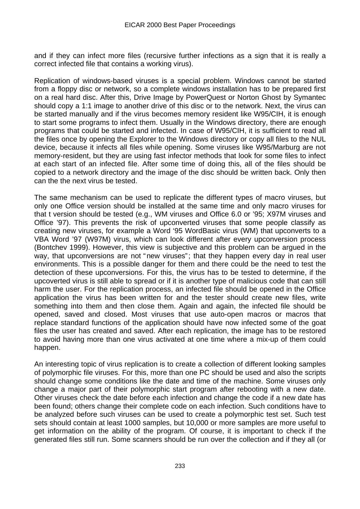and if they can infect more files (recursive further infections as a sign that it is really a correct infected file that contains a working virus).

Replication of windows-based viruses is a special problem. Windows cannot be started from a floppy disc or network, so a complete windows installation has to be prepared first on a real hard disc. After this, Drive Image by PowerQuest or Norton Ghost by Symantec should copy a 1:1 image to another drive of this disc or to the network. Next, the virus can be started manually and if the virus becomes memory resident like W95/CIH, it is enough to start some programs to infect them. Usually in the Windows directory, there are enough programs that could be started and infected. In case of W95/CIH, it is sufficient to read all the files once by opening the Explorer to the Windows directory or copy all files to the NUL device, because it infects all files while opening. Some viruses like W95/Marburg are not memory-resident, but they are using fast infector methods that look for some files to infect at each start of an infected file. After some time of doing this, all of the files should be copied to a network directory and the image of the disc should be written back. Only then can the the next virus be tested.

The same mechanism can be used to replicate the different types of macro viruses, but only one Office version should be installed at the same time and only macro viruses for that t version should be tested (e.g., WM viruses and Office 6.0 or '95; X97M viruses and Office '97). This prevents the risk of upconverted viruses that some people classify as creating new viruses, for example a Word '95 WordBasic virus (WM) that upconverts to a VBA Word '97 (W97M) virus, which can look different after every upconversion process (Bontchev 1999). However, this view is subjective and this problem can be argued in the way, that upconversions are not "new viruses"; that they happen every day in real user environments. This is a possible danger for them and there could be the need to test the detection of these upconversions. For this, the virus has to be tested to determine, if the upcoverted virus is still able to spread or if it is another type of malicious code that can still harm the user. For the replication process, an infected file should be opened in the Office application the virus has been written for and the tester should create new files, write something into them and then close them. Again and again, the infected file should be opened, saved and closed. Most viruses that use auto-open macros or macros that replace standard functions of the application should have now infected some of the goat files the user has created and saved. After each replication, the image has to be restored to avoid having more than one virus activated at one time where a mix-up of them could happen.

An interesting topic of virus replication is to create a collection of different looking samples of polymorphic file viruses. For this, more than one PC should be used and also the scripts should change some conditions like the date and time of the machine. Some viruses only change a major part of their polymorphic start program after rebooting with a new date. Other viruses check the date before each infection and change the code if a new date has been found; others change their complete code on each infection. Such conditions have to be analyzed before such viruses can be used to create a polymorphic test set. Such test sets should contain at least 1000 samples, but 10,000 or more samples are more useful to get information on the ability of the program. Of course, it is important to check if the generated files still run. Some scanners should be run over the collection and if they all (or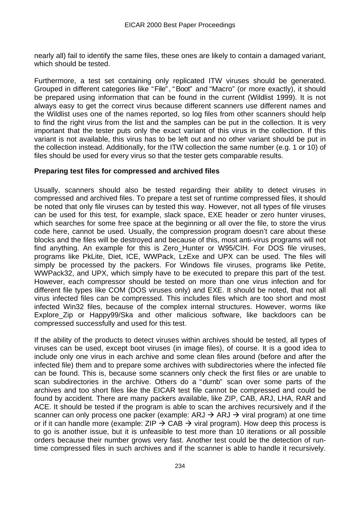nearly all) fail to identify the same files, these ones are likely to contain a damaged variant, which should be tested.

Furthermore, a test set containing only replicated ITW viruses should be generated. Grouped in different categories like "File", "Boot" and "Macro" (or more exactly), it should be prepared using information that can be found in the current (Wildlist 1999). It is not always easy to get the correct virus because different scanners use different names and the Wildlist uses one of the names reported, so log files from other scanners should help to find the right virus from the list and the samples can be put in the collection. It is very important that the tester puts only the exact variant of this virus in the collection. If this variant is not available, this virus has to be left out and no other variant should be put in the collection instead. Additionally, for the ITW collection the same number (e.g. 1 or 10) of files should be used for every virus so that the tester gets comparable results.

#### **Preparing test files for compressed and archived files**

Usually, scanners should also be tested regarding their ability to detect viruses in compressed and archived files. To prepare a test set of runtime compressed files, it should be noted that only file viruses can by tested this way. However, not all types of file viruses can be used for this test, for example, slack space, EXE header or zero hunter viruses, which searches for some free space at the beginning or all over the file, to store the virus code here, cannot be used. Usually, the compression program doesn't care about these blocks and the files will be destroyed and because of this, most anti-virus programs will not find anything. An example for this is Zero\_Hunter or W95/CIH. For DOS file viruses, programs like PkLite, Diet, ICE, WWPack, LzExe and UPX can be used. The files will simply be processed by the packers. For Windows file viruses, programs like Petite, WWPack32, and UPX, which simply have to be executed to prepare this part of the test. However, each compressor should be tested on more than one virus infection and for different file types like COM (DOS viruses only) and EXE. It should be noted, that not all virus infected files can be compressed. This includes files which are too short and most infected Win32 files, because of the complex internal structures. However, worms like Explore Zip or Happy99/Ska and other malicious software, like backdoors can be compressed successfully and used for this test.

If the ability of the products to detect viruses within archives should be tested, all types of viruses can be used, except boot viruses (in image files), of course. It is a good idea to include only one virus in each archive and some clean files around (before and after the infected file) them and to prepare some archives with subdirectories where the infected file can be found. This is, because some scanners only check the first files or are unable to scan subdirectories in the archive. Others do a "dumb" scan over some parts of the archives and too short files like the EICAR test file cannot be compressed and could be found by accident. There are many packers available, like ZIP, CAB, ARJ, LHA, RAR and ACE. It should be tested if the program is able to scan the archives recursively and if the scanner can only process one packer (example: ARJ  $\rightarrow$  ARJ  $\rightarrow$  viral program) at one time or if it can handle more (example:  $ZIP \rightarrow CAB \rightarrow viral$  program). How deep this process is to go is another issue, but it is unfeasible to test more than 10 iterations or all possible orders because their number grows very fast. Another test could be the detection of runtime compressed files in such archives and if the scanner is able to handle it recursively.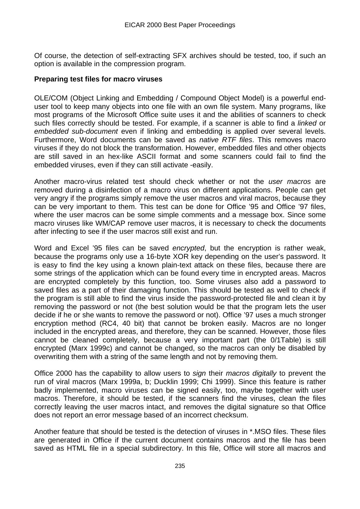Of course, the detection of self-extracting SFX archives should be tested, too, if such an option is available in the compression program.

#### **Preparing test files for macro viruses**

OLE/COM (Object Linking and Embedding / Compound Object Model) is a powerful enduser tool to keep many objects into one file with an own file system. Many programs, like most programs of the Microsoft Office suite uses it and the abilities of scanners to check such files correctly should be tested. For example, if a scanner is able to find a *linked* or *embedded sub-document* even if linking and embedding is applied over several levels. Furthermore, Word documents can be saved as *native RTF files*. This removes macro viruses if they do not block the transformation. However, embedded files and other objects are still saved in an hex-like ASCII format and some scanners could fail to find the embedded viruses, even if they can still activate -easily.

Another macro-virus related test should check whether or not the *user macros* are removed during a disinfection of a macro virus on different applications. People can get very angry if the programs simply remove the user macros and viral macros, because they can be very important to them. This test can be done for Office '95 and Office '97 files, where the user macros can be some simple comments and a message box. Since some macro viruses like WM/CAP remove user macros, it is necessary to check the documents after infecting to see if the user macros still exist and run.

Word and Excel '95 files can be saved *encrypted*, but the encryption is rather weak, because the programs only use a 16-byte XOR key depending on the user's password. It is easy to find the key using a known plain-text attack on these files, because there are some strings of the application which can be found every time in encrypted areas. Macros are encrypted completely by this function, too. Some viruses also add a password to saved files as a part of their damaging function. This should be tested as well to check if the program is still able to find the virus inside the password-protected file and clean it by removing the password or not (the best solution would be that the program lets the user decide if he or she wants to remove the password or not). Office '97 uses a much stronger encryption method (RC4, 40 bit) that cannot be broken easily. Macros are no longer included in the encrypted areas, and therefore, they can be scanned. However, those files cannot be cleaned completely, because a very important part (the 0/1Table) is still encrypted (Marx 1999c) and cannot be changed, so the macros can only be disabled by overwriting them with a string of the same length and not by removing them.

Office 2000 has the capability to allow users to *sign* their *macros digitally* to prevent the run of viral macros (Marx 1999a, b; Ducklin 1999; Chi 1999). Since this feature is rather badly implemented, macro viruses can be signed easily, too, maybe together with user macros. Therefore, it should be tested, if the scanners find the viruses, clean the files correctly leaving the user macros intact, and removes the digital signature so that Office does not report an error message based of an incorrect checksum.

Another feature that should be tested is the detection of viruses in \*.MSO files. These files are generated in Office if the current document contains macros and the file has been saved as HTML file in a special subdirectory. In this file, Office will store all macros and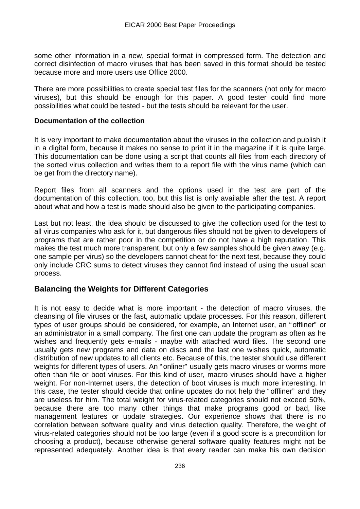some other information in a new, special format in compressed form. The detection and correct disinfection of macro viruses that has been saved in this format should be tested because more and more users use Office 2000.

There are more possibilities to create special test files for the scanners (not only for macro viruses), but this should be enough for this paper. A good tester could find more possibilities what could be tested - but the tests should be relevant for the user.

#### **Documentation of the collection**

It is very important to make documentation about the viruses in the collection and publish it in a digital form, because it makes no sense to print it in the magazine if it is quite large. This documentation can be done using a script that counts all files from each directory of the sorted virus collection and writes them to a report file with the virus name (which can be get from the directory name).

Report files from all scanners and the options used in the test are part of the documentation of this collection, too, but this list is only available after the test. A report about what and how a test is made should also be given to the participating companies.

Last but not least, the idea should be discussed to give the collection used for the test to all virus companies who ask for it, but dangerous files should not be given to developers of programs that are rather poor in the competition or do not have a high reputation. This makes the test much more transparent, but only a few samples should be given away (e.g. one sample per virus) so the developers cannot cheat for the next test, because they could only include CRC sums to detect viruses they cannot find instead of using the usual scan process.

## **Balancing the Weights for Different Categories**

It is not easy to decide what is more important - the detection of macro viruses, the cleansing of file viruses or the fast, automatic update processes. For this reason, different types of user groups should be considered, for example, an Internet user, an "offliner" or an administrator in a small company. The first one can update the program as often as he wishes and frequently gets e-mails - maybe with attached word files. The second one usually gets new programs and data on discs and the last one wishes quick, automatic distribution of new updates to all clients etc. Because of this, the tester should use different weights for different types of users. An "onliner" usually gets macro viruses or worms more often than file or boot viruses. For this kind of user, macro viruses should have a higher weight. For non-Internet users, the detection of boot viruses is much more interesting. In this case, the tester should decide that online updates do not help the "offliner" and they are useless for him. The total weight for virus-related categories should not exceed 50%, because there are too many other things that make programs good or bad, like management features or update strategies. Our experience shows that there is no correlation between software quality and virus detection quality. Therefore, the weight of virus-related categories should not be too large (even if a good score is a precondition for choosing a product), because otherwise general software quality features might not be represented adequately. Another idea is that every reader can make his own decision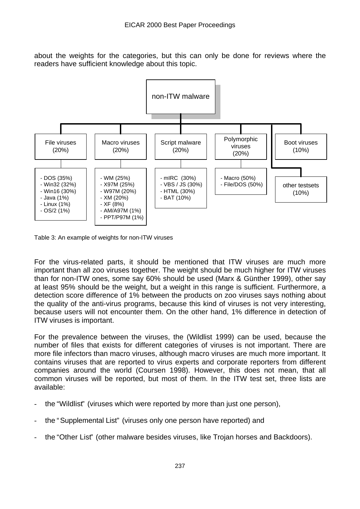about the weights for the categories, but this can only be done for reviews where the readers have sufficient knowledge about this topic.



Table 3: An example of weights for non-ITW viruses

For the virus-related parts, it should be mentioned that ITW viruses are much more important than all zoo viruses together. The weight should be much higher for ITW viruses than for non-ITW ones, some say 60% should be used (Marx & Günther 1999), other say at least 95% should be the weight, but a weight in this range is sufficient. Furthermore, a detection score difference of 1% between the products on zoo viruses says nothing about the quality of the anti-virus programs, because this kind of viruses is not very interesting, because users will not encounter them. On the other hand, 1% difference in detection of ITW viruses is important.

For the prevalence between the viruses, the (Wildlist 1999) can be used, because the number of files that exists for different categories of viruses is not important. There are more file infectors than macro viruses, although macro viruses are much more important. It contains viruses that are reported to virus experts and corporate reporters from different companies around the world (Coursen 1998). However, this does not mean, that all common viruses will be reported, but most of them. In the ITW test set, three lists are available:

- the "Wildlist" (viruses which were reported by more than just one person),
- the "Supplemental List" (viruses only one person have reported) and
- the "Other List" (other malware besides viruses, like Trojan horses and Backdoors).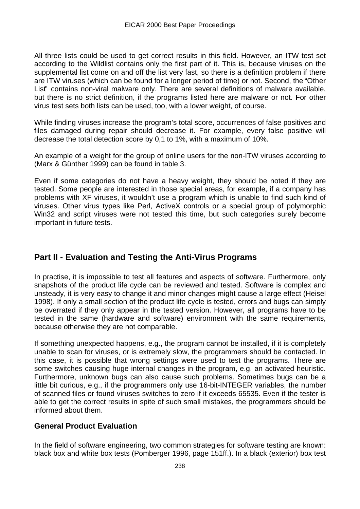All three lists could be used to get correct results in this field. However, an ITW test set according to the Wildlist contains only the first part of it. This is, because viruses on the supplemental list come on and off the list very fast, so there is a definition problem if there are ITW viruses (which can be found for a longer period of time) or not. Second, the "Other List" contains non-viral malware only. There are several definitions of malware available, but there is no strict definition, if the programs listed here are malware or not. For other virus test sets both lists can be used, too, with a lower weight, of course.

While finding viruses increase the program's total score, occurrences of false positives and files damaged during repair should decrease it. For example, every false positive will decrease the total detection score by 0,1 to 1%, with a maximum of 10%.

An example of a weight for the group of online users for the non-ITW viruses according to (Marx & Günther 1999) can be found in table 3.

Even if some categories do not have a heavy weight, they should be noted if they are tested. Some people are interested in those special areas, for example, if a company has problems with XF viruses, it wouldn't use a program which is unable to find such kind of viruses. Other virus types like Perl, ActiveX controls or a special group of polymorphic Win32 and script viruses were not tested this time, but such categories surely become important in future tests.

## **Part II - Evaluation and Testing the Anti-Virus Programs**

In practise, it is impossible to test all features and aspects of software. Furthermore, only snapshots of the product life cycle can be reviewed and tested. Software is complex and unsteady, it is very easy to change it and minor changes might cause a large effect (Heisel 1998). If only a small section of the product life cycle is tested, errors and bugs can simply be overrated if they only appear in the tested version. However, all programs have to be tested in the same (hardware and software) environment with the same requirements, because otherwise they are not comparable.

If something unexpected happens, e.g., the program cannot be installed, if it is completely unable to scan for viruses, or is extremely slow, the programmers should be contacted. In this case, it is possible that wrong settings were used to test the programs. There are some switches causing huge internal changes in the program, e.g. an activated heuristic. Furthermore, unknown bugs can also cause such problems. Sometimes bugs can be a little bit curious, e.g., if the programmers only use 16-bit-INTEGER variables, the number of scanned files or found viruses switches to zero if it exceeds 65535. Even if the tester is able to get the correct results in spite of such small mistakes, the programmers should be informed about them.

## **General Product Evaluation**

In the field of software engineering, two common strategies for software testing are known: black box and white box tests (Pomberger 1996, page 151ff.). In a black (exterior) box test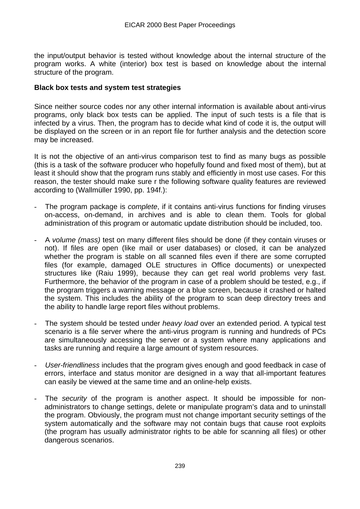the input/output behavior is tested without knowledge about the internal structure of the program works. A white (interior) box test is based on knowledge about the internal structure of the program.

#### **Black box tests and system test strategies**

Since neither source codes nor any other internal information is available about anti-virus programs, only black box tests can be applied. The input of such tests is a file that is infected by a virus. Then, the program has to decide what kind of code it is, the output will be displayed on the screen or in an report file for further analysis and the detection score may be increased.

It is not the objective of an anti-virus comparison test to find as many bugs as possible (this is a task of the software producer who hopefully found and fixed most of them), but at least it should show that the program runs stably and efficiently in most use cases. For this reason, the tester should make sure r the following software quality features are reviewed according to (Wallmüller 1990, pp. 194f.):

- The program package is *complete*, if it contains anti-virus functions for finding viruses on-access, on-demand, in archives and is able to clean them. Tools for global administration of this program or automatic update distribution should be included, too.
- A *volume (mass)* test on many different files should be done (if they contain viruses or not). If files are open (like mail or user databases) or closed, it can be analyzed whether the program is stable on all scanned files even if there are some corrupted files (for example, damaged OLE structures in Office documents) or unexpected structures like (Raiu 1999), because they can get real world problems very fast. Furthermore, the behavior of the program in case of a problem should be tested, e.g., if the program triggers a warning message or a blue screen, because it crashed or halted the system. This includes the ability of the program to scan deep directory trees and the ability to handle large report files without problems.
- The system should be tested under *heavy load* over an extended period. A typical test scenario is a file server where the anti-virus program is running and hundreds of PCs are simultaneously accessing the server or a system where many applications and tasks are running and require a large amount of system resources.
- *User-friendliness* includes that the program gives enough and good feedback in case of errors, interface and status monitor are designed in a way that all-important features can easily be viewed at the same time and an online-help exists.
- The *security* of the program is another aspect. It should be impossible for nonadministrators to change settings, delete or manipulate program's data and to uninstall the program. Obviously, the program must not change important security settings of the system automatically and the software may not contain bugs that cause root exploits (the program has usually administrator rights to be able for scanning all files) or other dangerous scenarios.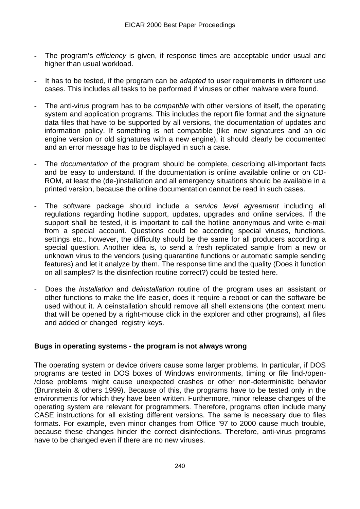- The program's *efficiency* is given, if response times are acceptable under usual and higher than usual workload.
- It has to be tested, if the program can be *adapted* to user requirements in different use cases. This includes all tasks to be performed if viruses or other malware were found.
- The anti-virus program has to be *compatible* with other versions of itself, the operating system and application programs. This includes the report file format and the signature data files that have to be supported by all versions, the documentation of updates and information policy. If something is not compatible (like new signatures and an old engine version or old signatures with a new engine), it should clearly be documented and an error message has to be displayed in such a case.
- The *documentation* of the program should be complete, describing all-important facts and be easy to understand. If the documentation is online available online or on CD-ROM, at least the (de-)installation and all emergency situations should be available in a printed version, because the online documentation cannot be read in such cases.
- The software package should include a *service level agreement* including all regulations regarding hotline support, updates, upgrades and online services. If the support shall be tested, it is important to call the hotline anonymous and write e-mail from a special account. Questions could be according special viruses, functions, settings etc., however, the difficulty should be the same for all producers according a special question. Another idea is, to send a fresh replicated sample from a new or unknown virus to the vendors (using quarantine functions or automatic sample sending features) and let it analyze by them. The response time and the quality (Does it function on all samples? Is the disinfection routine correct?) could be tested here.
- Does the *installation* and *deinstallation* routine of the program uses an assistant or other functions to make the life easier, does it require a reboot or can the software be used without it. A deinstallation should remove all shell extensions (the context menu that will be opened by a right-mouse click in the explorer and other programs), all files and added or changed registry keys.

#### **Bugs in operating systems - the program is not always wrong**

The operating system or device drivers cause some larger problems. In particular, if DOS programs are tested in DOS boxes of Windows environments, timing or file find-/open- /close problems might cause unexpected crashes or other non-deterministic behavior (Brunnstein & others 1999). Because of this, the programs have to be tested only in the environments for which they have been written. Furthermore, minor release changes of the operating system are relevant for programmers. Therefore, programs often include many CASE instructions for all existing different versions. The same is necessary due to files formats. For example, even minor changes from Office '97 to 2000 cause much trouble, because these changes hinder the correct disinfections. Therefore, anti-virus programs have to be changed even if there are no new viruses.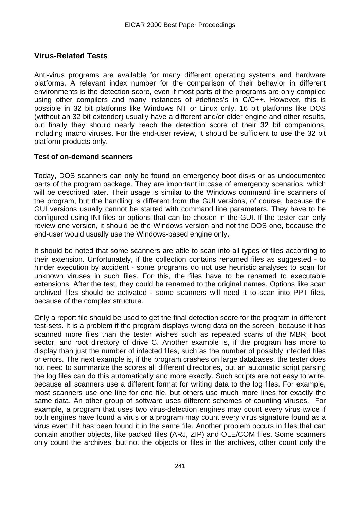## **Virus-Related Tests**

Anti-virus programs are available for many different operating systems and hardware platforms. A relevant index number for the comparison of their behavior in different environments is the detection score, even if most parts of the programs are only compiled using other compilers and many instances of #defines's in C/C++. However, this is possible in 32 bit platforms like Windows NT or Linux only. 16 bit platforms like DOS (without an 32 bit extender) usually have a different and/or older engine and other results, but finally they should nearly reach the detection score of their 32 bit companions, including macro viruses. For the end-user review, it should be sufficient to use the 32 bit platform products only.

#### **Test of on-demand scanners**

Today, DOS scanners can only be found on emergency boot disks or as undocumented parts of the program package. They are important in case of emergency scenarios, which will be described later. Their usage is similar to the Windows command line scanners of the program, but the handling is different from the GUI versions, of course, because the GUI versions usually cannot be started with command line parameters. They have to be configured using INI files or options that can be chosen in the GUI. If the tester can only review one version, it should be the Windows version and not the DOS one, because the end-user would usually use the Windows-based engine only.

It should be noted that some scanners are able to scan into all types of files according to their extension. Unfortunately, if the collection contains renamed files as suggested - to hinder execution by accident - some programs do not use heuristic analyses to scan for unknown viruses in such files. For this, the files have to be renamed to executable extensions. After the test, they could be renamed to the original names. Options like scan archived files should be activated - some scanners will need it to scan into PPT files, because of the complex structure.

Only a report file should be used to get the final detection score for the program in different test-sets. It is a problem if the program displays wrong data on the screen, because it has scanned more files than the tester wishes such as repeated scans of the MBR, boot sector, and root directory of drive C. Another example is, if the program has more to display than just the number of infected files, such as the number of possibly infected files or errors. The next example is, if the program crashes on large databases, the tester does not need to summarize the scores all different directories, but an automatic script parsing the log files can do this automatically and more exactly. Such scripts are not easy to write, because all scanners use a different format for writing data to the log files. For example, most scanners use one line for one file, but others use much more lines for exactly the same data. An other group of software uses different schemes of counting viruses. For example, a program that uses two virus-detection engines may count every virus twice if both engines have found a virus or a program may count every virus signature found as a virus even if it has been found it in the same file. Another problem occurs in files that can contain another objects, like packed files (ARJ, ZIP) and OLE/COM files. Some scanners only count the archives, but not the objects or files in the archives, other count only the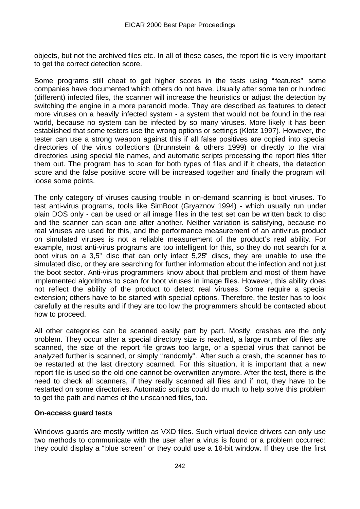objects, but not the archived files etc. In all of these cases, the report file is very important to get the correct detection score.

Some programs still cheat to get higher scores in the tests using "features" some companies have documented which others do not have. Usually after some ten or hundred (different) infected files, the scanner will increase the heuristics or adjust the detection by switching the engine in a more paranoid mode. They are described as features to detect more viruses on a heavily infected system - a system that would not be found in the real world, because no system can be infected by so many viruses. More likely it has been established that some testers use the wrong options or settings (Klotz 1997). However, the tester can use a strong weapon against this if all false positives are copied into special directories of the virus collections (Brunnstein & others 1999) or directly to the viral directories using special file names, and automatic scripts processing the report files filter them out. The program has to scan for both types of files and if it cheats, the detection score and the false positive score will be increased together and finally the program will loose some points.

The only category of viruses causing trouble in on-demand scanning is boot viruses. To test anti-virus programs, tools like SimBoot (Gryaznov 1994) - which usually run under plain DOS only - can be used or all image files in the test set can be written back to disc and the scanner can scan one after another. Neither variation is satisfying, because no real viruses are used for this, and the performance measurement of an antivirus product on simulated viruses is not a reliable measurement of the product's real ability. For example, most anti-virus programs are too intelligent for this, so they do not search for a boot virus on a 3,5" disc that can only infect 5,25" discs, they are unable to use the simulated disc, or they are searching for further information about the infection and not just the boot sector. Anti-virus programmers know about that problem and most of them have implemented algorithms to scan for boot viruses in image files. However, this ability does not reflect the ability of the product to detect real viruses. Some require a special extension; others have to be started with special options. Therefore, the tester has to look carefully at the results and if they are too low the programmers should be contacted about how to proceed.

All other categories can be scanned easily part by part. Mostly, crashes are the only problem. They occur after a special directory size is reached, a large number of files are scanned, the size of the report file grows too large, or a special virus that cannot be analyzed further is scanned, or simply "randomly". After such a crash, the scanner has to be restarted at the last directory scanned. For this situation, it is important that a new report file is used so the old one cannot be overwritten anymore. After the test, there is the need to check all scanners, if they really scanned all files and if not, they have to be restarted on some directories. Automatic scripts could do much to help solve this problem to get the path and names of the unscanned files, too.

#### **On-access guard tests**

Windows guards are mostly written as VXD files. Such virtual device drivers can only use two methods to communicate with the user after a virus is found or a problem occurred: they could display a "blue screen" or they could use a 16-bit window. If they use the first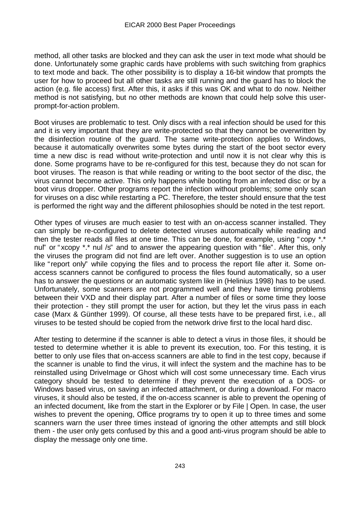method, all other tasks are blocked and they can ask the user in text mode what should be done. Unfortunately some graphic cards have problems with such switching from graphics to text mode and back. The other possibility is to display a 16-bit window that prompts the user for how to proceed but all other tasks are still running and the guard has to block the action (e.g. file access) first. After this, it asks if this was OK and what to do now. Neither method is not satisfying, but no other methods are known that could help solve this userprompt-for-action problem.

Boot viruses are problematic to test. Only discs with a real infection should be used for this and it is very important that they are write-protected so that they cannot be overwritten by the disinfection routine of the guard. The same write-protection applies to Windows, because it automatically overwrites some bytes during the start of the boot sector every time a new disc is read without write-protection and until now it is not clear why this is done. Some programs have to be re-configured for this test, because they do not scan for boot viruses. The reason is that while reading or writing to the boot sector of the disc, the virus cannot become active. This only happens while booting from an infected disc or by a boot virus dropper. Other programs report the infection without problems; some only scan for viruses on a disc while restarting a PC. Therefore, the tester should ensure that the test is performed the right way and the different philosophies should be noted in the test report.

Other types of viruses are much easier to test with an on-access scanner installed. They can simply be re-configured to delete detected viruses automatically while reading and then the tester reads all files at one time. This can be done, for example, using "copy \*.\* nul" or "xcopy \*.\* nul /s" and to answer the appearing question with "file". After this, only the viruses the program did not find are left over. Another suggestion is to use an option like "report only" while copying the files and to process the report file after it. Some onaccess scanners cannot be configured to process the files found automatically, so a user has to answer the questions or an automatic system like in (Helinius 1998) has to be used. Unfortunately, some scanners are not programmed well and they have timing problems between their VXD and their display part. After a number of files or some time they loose their protection - they still prompt the user for action, but they let the virus pass in each case (Marx & Günther 1999). Of course, all these tests have to be prepared first, i.e., all viruses to be tested should be copied from the network drive first to the local hard disc.

After testing to determine if the scanner is able to detect a virus in those files, it should be tested to determine whether it is able to prevent its execution, too. For this testing, it is better to only use files that on-access scanners are able to find in the test copy, because if the scanner is unable to find the virus, it will infect the system and the machine has to be reinstalled using DriveImage or Ghost which will cost some unnecessary time. Each virus category should be tested to determine if they prevent the execution of a DOS- or Windows based virus, on saving an infected attachment, or during a download. For macro viruses, it should also be tested, if the on-access scanner is able to prevent the opening of an infected document, like from the start in the Explorer or by File | Open. In case, the user wishes to prevent the opening, Office programs try to open it up to three times and some scanners warn the user three times instead of ignoring the other attempts and still block them - the user only gets confused by this and a good anti-virus program should be able to display the message only one time.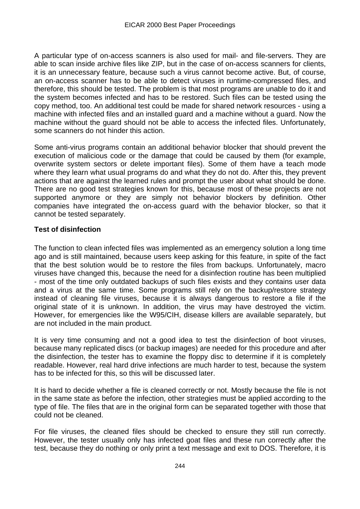A particular type of on-access scanners is also used for mail- and file-servers. They are able to scan inside archive files like ZIP, but in the case of on-access scanners for clients, it is an unnecessary feature, because such a virus cannot become active. But, of course, an on-access scanner has to be able to detect viruses in runtime-compressed files, and therefore, this should be tested. The problem is that most programs are unable to do it and the system becomes infected and has to be restored. Such files can be tested using the copy method, too. An additional test could be made for shared network resources - using a machine with infected files and an installed guard and a machine without a guard. Now the machine without the guard should not be able to access the infected files. Unfortunately, some scanners do not hinder this action.

Some anti-virus programs contain an additional behavior blocker that should prevent the execution of malicious code or the damage that could be caused by them (for example, overwrite system sectors or delete important files). Some of them have a teach mode where they learn what usual programs do and what they do not do. After this, they prevent actions that are against the learned rules and prompt the user about what should be done. There are no good test strategies known for this, because most of these projects are not supported anymore or they are simply not behavior blockers by definition. Other companies have integrated the on-access guard with the behavior blocker, so that it cannot be tested separately.

#### **Test of disinfection**

The function to clean infected files was implemented as an emergency solution a long time ago and is still maintained, because users keep asking for this feature, in spite of the fact that the best solution would be to restore the files from backups. Unfortunately, macro viruses have changed this, because the need for a disinfection routine has been multiplied - most of the time only outdated backups of such files exists and they contains user data and a virus at the same time. Some programs still rely on the backup/restore strategy instead of cleaning file viruses, because it is always dangerous to restore a file if the original state of it is unknown. In addition, the virus may have destroyed the victim. However, for emergencies like the W95/CIH, disease killers are available separately, but are not included in the main product.

It is very time consuming and not a good idea to test the disinfection of boot viruses, because many replicated discs (or backup images) are needed for this procedure and after the disinfection, the tester has to examine the floppy disc to determine if it is completely readable. However, real hard drive infections are much harder to test, because the system has to be infected for this, so this will be discussed later.

It is hard to decide whether a file is cleaned correctly or not. Mostly because the file is not in the same state as before the infection, other strategies must be applied according to the type of file. The files that are in the original form can be separated together with those that could not be cleaned.

For file viruses, the cleaned files should be checked to ensure they still run correctly. However, the tester usually only has infected goat files and these run correctly after the test, because they do nothing or only print a text message and exit to DOS. Therefore, it is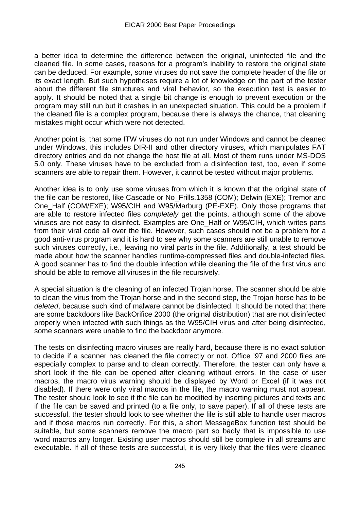a better idea to determine the difference between the original, uninfected file and the cleaned file. In some cases, reasons for a program's inability to restore the original state can be deduced. For example, some viruses do not save the complete header of the file or its exact length. But such hypotheses require a lot of knowledge on the part of the tester about the different file structures and viral behavior, so the execution test is easier to apply. It should be noted that a single bit change is enough to prevent execution or the program may still run but it crashes in an unexpected situation. This could be a problem if the cleaned file is a complex program, because there is always the chance, that cleaning mistakes might occur which were not detected.

Another point is, that some ITW viruses do not run under Windows and cannot be cleaned under Windows, this includes DIR-II and other directory viruses, which manipulates FAT directory entries and do not change the host file at all. Most of them runs under MS-DOS 5.0 only. These viruses have to be excluded from a disinfection test, too, even if some scanners are able to repair them. However, it cannot be tested without major problems.

Another idea is to only use some viruses from which it is known that the original state of the file can be restored, like Cascade or No\_Frills.1358 (COM); Delwin (EXE); Tremor and One Half (COM/EXE); W95/CIH and W95/Marburg (PE-EXE). Only those programs that are able to restore infected files *completely* get the points, although some of the above viruses are not easy to disinfect. Examples are One\_Half or W95/CIH, which writes parts from their viral code all over the file. However, such cases should not be a problem for a good anti-virus program and it is hard to see why some scanners are still unable to remove such viruses correctly, i.e., leaving no viral parts in the file. Additionally, a test should be made about how the scanner handles runtime-compressed files and double-infected files. A good scanner has to find the double infection while cleaning the file of the first virus and should be able to remove all viruses in the file recursively.

A special situation is the cleaning of an infected Trojan horse. The scanner should be able to clean the virus from the Trojan horse and in the second step, the Trojan horse has to be *deleted*, because such kind of malware cannot be disinfected. It should be noted that there are some backdoors like BackOrifice 2000 (the original distribution) that are not disinfected properly when infected with such things as the W95/CIH virus and after being disinfected, some scanners were unable to find the backdoor anymore.

The tests on disinfecting macro viruses are really hard, because there is no exact solution to decide if a scanner has cleaned the file correctly or not. Office '97 and 2000 files are especially complex to parse and to clean correctly. Therefore, the tester can only have a short look if the file can be opened after cleaning without errors. In the case of user macros, the macro virus warning should be displayed by Word or Excel (if it was not disabled). If there were only viral macros in the file, the macro warning must not appear. The tester should look to see if the file can be modified by inserting pictures and texts and if the file can be saved and printed (to a file only, to save paper). If all of these tests are successful, the tester should look to see whether the file is still able to handle user macros and if those macros run correctly. For this, a short MessageBox function test should be suitable, but some scanners remove the macro part so badly that is impossible to use word macros any longer. Existing user macros should still be complete in all streams and executable. If all of these tests are successful, it is very likely that the files were cleaned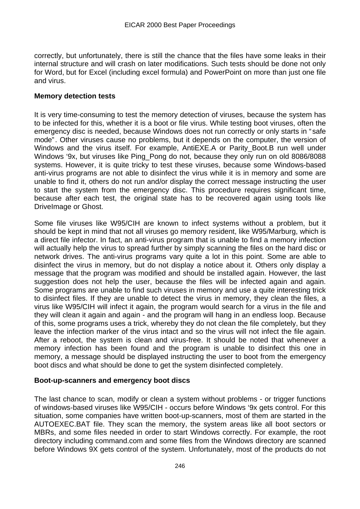correctly, but unfortunately, there is still the chance that the files have some leaks in their internal structure and will crash on later modifications. Such tests should be done not only for Word, but for Excel (including excel formula) and PowerPoint on more than just one file and virus.

#### **Memory detection tests**

It is very time-consuming to test the memory detection of viruses, because the system has to be infected for this, whether it is a boot or file virus. While testing boot viruses, often the emergency disc is needed, because Windows does not run correctly or only starts in " safe mode". Other viruses cause no problems, but it depends on the computer, the version of Windows and the virus itself. For example, AntiEXE.A or Parity\_Boot.B run well under Windows '9x, but viruses like Ping Pong do not, because they only run on old 8086/8088 systems. However, it is quite tricky to test these viruses, because some Windows-based anti-virus programs are not able to disinfect the virus while it is in memory and some are unable to find it, others do not run and/or display the correct message instructing the user to start the system from the emergency disc. This procedure requires significant time, because after each test, the original state has to be recovered again using tools like DriveImage or Ghost.

Some file viruses like W95/CIH are known to infect systems without a problem, but it should be kept in mind that not all viruses go memory resident, like W95/Marburg, which is a direct file infector. In fact, an anti-virus program that is unable to find a memory infection will actually help the virus to spread further by simply scanning the files on the hard disc or network drives. The anti-virus programs vary quite a lot in this point. Some are able to disinfect the virus in memory, but do not display a notice about it. Others only display a message that the program was modified and should be installed again. However, the last suggestion does not help the user, because the files will be infected again and again. Some programs are unable to find such viruses in memory and use a quite interesting trick to disinfect files. If they are unable to detect the virus in memory, they clean the files, a virus like W95/CIH will infect it again, the program would search for a virus in the file and they will clean it again and again - and the program will hang in an endless loop. Because of this, some programs uses a trick, whereby they do not clean the file completely, but they leave the infection marker of the virus intact and so the virus will not infect the file again. After a reboot, the system is clean and virus-free. It should be noted that whenever a memory infection has been found and the program is unable to disinfect this one in memory, a message should be displayed instructing the user to boot from the emergency boot discs and what should be done to get the system disinfected completely.

#### **Boot-up-scanners and emergency boot discs**

The last chance to scan, modify or clean a system without problems - or trigger functions of windows-based viruses like W95/CIH - occurs before Windows '9x gets control. For this situation, some companies have written boot-up-scanners, most of them are started in the AUTOEXEC.BAT file. They scan the memory, the system areas like all boot sectors or MBRs, and some files needed in order to start Windows correctly. For example, the root directory including command.com and some files from the Windows directory are scanned before Windows 9X gets control of the system. Unfortunately, most of the products do not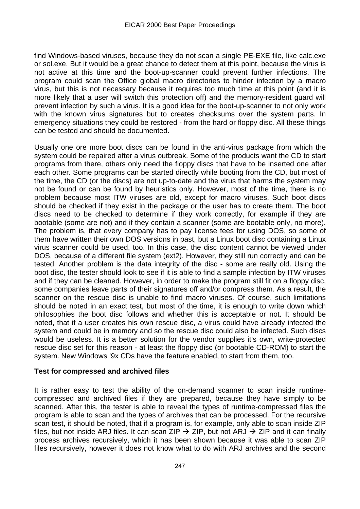find Windows-based viruses, because they do not scan a single PE-EXE file, like calc.exe or sol.exe. But it would be a great chance to detect them at this point, because the virus is not active at this time and the boot-up-scanner could prevent further infections. The program could scan the Office global macro directories to hinder infection by a macro virus, but this is not necessary because it requires too much time at this point (and it is more likely that a user will switch this protection off) and the memory-resident guard will prevent infection by such a virus. It is a good idea for the boot-up-scanner to not only work with the known virus signatures but to creates checksums over the system parts. In emergency situations they could be restored - from the hard or floppy disc. All these things can be tested and should be documented.

Usually one ore more boot discs can be found in the anti-virus package from which the system could be repaired after a virus outbreak. Some of the products want the CD to start programs from there, others only need the floppy discs that have to be inserted one after each other. Some programs can be started directly while booting from the CD, but most of the time, the CD (or the discs) are not up-to-date and the virus that harms the system may not be found or can be found by heuristics only. However, most of the time, there is no problem because most ITW viruses are old, except for macro viruses. Such boot discs should be checked if they exist in the package or the user has to create them. The boot discs need to be checked to determine if they work correctly, for example if they are bootable (some are not) and if they contain a scanner (some are bootable only, no more). The problem is, that every company has to pay license fees for using DOS, so some of them have written their own DOS versions in past, but a Linux boot disc containing a Linux virus scanner could be used, too. In this case, the disc content cannot be viewed under DOS, because of a different file system (ext2). However, they still run correctly and can be tested. Another problem is the data integrity of the disc - some are really old. Using the boot disc, the tester should look to see if it is able to find a sample infection by ITW viruses and if they can be cleaned. However, in order to make the program still fit on a floppy disc, some companies leave parts of their signatures off and/or compress them. As a result, the scanner on the rescue disc is unable to find macro viruses. Of course, such limitations should be noted in an exact test, but most of the time, it is enough to write down which philosophies the boot disc follows and whether this is acceptable or not. It should be noted, that if a user creates his own rescue disc, a virus could have already infected the system and could be in memory and so the rescue disc could also be infected. Such discs would be useless. It is a better solution for the vendor supplies it's own, write-protected rescue disc set for this reason - at least the floppy disc (or bootable CD-ROM) to start the system. New Windows '9x CDs have the feature enabled, to start from them, too.

#### **Test for compressed and archived files**

It is rather easy to test the ability of the on-demand scanner to scan inside runtimecompressed and archived files if they are prepared, because they have simply to be scanned. After this, the tester is able to reveal the types of runtime-compressed files the program is able to scan and the types of archives that can be processed. For the recursive scan test, it should be noted, that if a program is, for example, only able to scan inside ZIP files, but not inside ARJ files. It can scan ZIP  $\rightarrow$  ZIP, but not ARJ  $\rightarrow$  ZIP and it can finally process archives recursively, which it has been shown because it was able to scan ZIP files recursively, however it does not know what to do with ARJ archives and the second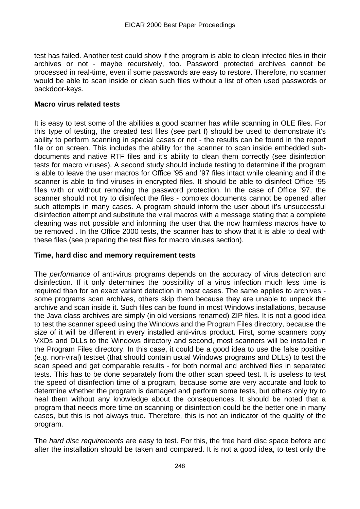test has failed. Another test could show if the program is able to clean infected files in their archives or not - maybe recursively, too. Password protected archives cannot be processed in real-time, even if some passwords are easy to restore. Therefore, no scanner would be able to scan inside or clean such files without a list of often used passwords or backdoor-keys.

#### **Macro virus related tests**

It is easy to test some of the abilities a good scanner has while scanning in OLE files. For this type of testing, the created test files (see part I) should be used to demonstrate it's ability to perform scanning in special cases or not - the results can be found in the report file or on screen. This includes the ability for the scanner to scan inside embedded subdocuments and native RTF files and it's ability to clean them correctly (see disinfection tests for macro viruses). A second study should include testing to determine if the program is able to leave the user macros for Office '95 and '97 files intact while cleaning and if the scanner is able to find viruses in encrypted files. It should be able to disinfect Office '95 files with or without removing the password protection. In the case of Office '97, the scanner should not try to disinfect the files - complex documents cannot be opened after such attempts in many cases. A program should inform the user about it's unsuccessful disinfection attempt and substitute the viral macros with a message stating that a complete cleaning was not possible and informing the user that the now harmless macros have to be removed . In the Office 2000 tests, the scanner has to show that it is able to deal with these files (see preparing the test files for macro viruses section).

#### **Time, hard disc and memory requirement tests**

The *performance* of anti-virus programs depends on the accuracy of virus detection and disinfection. If it only determines the possibility of a virus infection much less time is required than for an exact variant detection in most cases. The same applies to archives some programs scan archives, others skip them because they are unable to unpack the archive and scan inside it. Such files can be found in most Windows installations, because the Java class archives are simply (in old versions renamed) ZIP files. It is not a good idea to test the scanner speed using the Windows and the Program Files directory, because the size of it will be different in every installed anti-virus product. First, some scanners copy VXDs and DLLs to the Windows directory and second, most scanners will be installed in the Program Files directory. In this case, it could be a good idea to use the false positive (e.g. non-viral) testset (that should contain usual Windows programs and DLLs) to test the scan speed and get comparable results - for both normal and archived files in separated tests. This has to be done separately from the other scan speed test. It is useless to test the speed of disinfection time of a program, because some are very accurate and look to determine whether the program is damaged and perform some tests, but others only try to heal them without any knowledge about the consequences. It should be noted that a program that needs more time on scanning or disinfection could be the better one in many cases, but this is not always true. Therefore, this is not an indicator of the quality of the program.

The *hard disc requirements* are easy to test. For this, the free hard disc space before and after the installation should be taken and compared. It is not a good idea, to test only the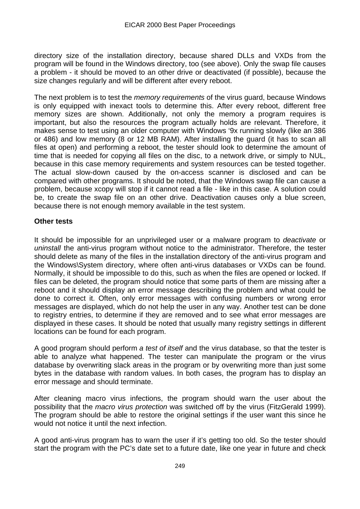directory size of the installation directory, because shared DLLs and VXDs from the program will be found in the Windows directory, too (see above). Only the swap file causes a problem - it should be moved to an other drive or deactivated (if possible), because the size changes regularly and will be different after every reboot.

The next problem is to test the *memory requirements* of the virus guard, because Windows is only equipped with inexact tools to determine this. After every reboot, different free memory sizes are shown. Additionally, not only the memory a program requires is important, but also the resources the program actually holds are relevant. Therefore, it makes sense to test using an older computer with Windows '9x running slowly (like an 386 or 486) and low memory (8 or 12 MB RAM). After installing the guard (it has to scan all files at open) and performing a reboot, the tester should look to determine the amount of time that is needed for copying all files on the disc, to a network drive, or simply to NUL, because in this case memory requirements and system resources can be tested together. The actual slow-down caused by the on-access scanner is disclosed and can be compared with other programs. It should be noted, that the Windows swap file can cause a problem, because xcopy will stop if it cannot read a file - like in this case. A solution could be, to create the swap file on an other drive. Deactivation causes only a blue screen, because there is not enough memory available in the test system.

#### **Other tests**

It should be impossible for an unprivileged user or a malware program to *deactivate* or *uninstall* the anti-virus program without notice to the administrator. Therefore, the tester should delete as many of the files in the installation directory of the anti-virus program and the Windows\System directory, where often anti-virus databases or VXDs can be found. Normally, it should be impossible to do this, such as when the files are opened or locked. If files can be deleted, the program should notice that some parts of them are missing after a reboot and it should display an error message describing the problem and what could be done to correct it. Often, only error messages with confusing numbers or wrong error messages are displayed, which do not help the user in any way. Another test can be done to registry entries, to determine if they are removed and to see what error messages are displayed in these cases. It should be noted that usually many registry settings in different locations can be found for each program.

A good program should perform *a test of itself* and the virus database, so that the tester is able to analyze what happened. The tester can manipulate the program or the virus database by overwriting slack areas in the program or by overwriting more than just some bytes in the database with random values. In both cases, the program has to display an error message and should terminate.

After cleaning macro virus infections, the program should warn the user about the possibility that the *macro virus protection* was switched off by the virus (FitzGerald 1999). The program should be able to restore the original settings if the user want this since he would not notice it until the next infection.

A good anti-virus program has to warn the user if it's getting too old. So the tester should start the program with the PC's date set to a future date, like one year in future and check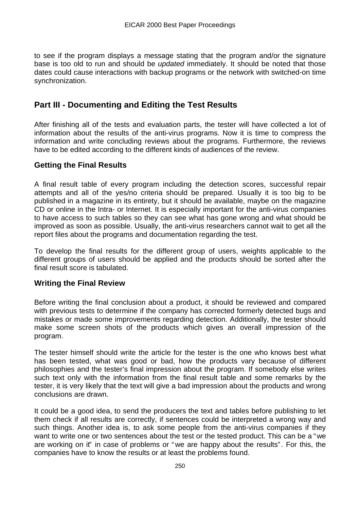to see if the program displays a message stating that the program and/or the signature base is too old to run and should be *updated* immediately. It should be noted that those dates could cause interactions with backup programs or the network with switched-on time synchronization.

## **Part III - Documenting and Editing the Test Results**

After finishing all of the tests and evaluation parts, the tester will have collected a lot of information about the results of the anti-virus programs. Now it is time to compress the information and write concluding reviews about the programs. Furthermore, the reviews have to be edited according to the different kinds of audiences of the review.

## **Getting the Final Results**

A final result table of every program including the detection scores, successful repair attempts and all of the yes/no criteria should be prepared. Usually it is too big to be published in a magazine in its entirety, but it should be available, maybe on the magazine CD or online in the Intra- or Internet. It is especially important for the anti-virus companies to have access to such tables so they can see what has gone wrong and what should be improved as soon as possible. Usually, the anti-virus researchers cannot wait to get all the report files about the programs and documentation regarding the test.

To develop the final results for the different group of users, weights applicable to the different groups of users should be applied and the products should be sorted after the final result score is tabulated.

## **Writing the Final Review**

Before writing the final conclusion about a product, it should be reviewed and compared with previous tests to determine if the company has corrected formerly detected bugs and mistakes or made some improvements regarding detection. Additionally, the tester should make some screen shots of the products which gives an overall impression of the program.

The tester himself should write the article for the tester is the one who knows best what has been tested, what was good or bad, how the products vary because of different philosophies and the tester's final impression about the program. If somebody else writes such text only with the information from the final result table and some remarks by the tester, it is very likely that the text will give a bad impression about the products and wrong conclusions are drawn.

It could be a good idea, to send the producers the text and tables before publishing to let them check if all results are correctly, if sentences could be interpreted a wrong way and such things. Another idea is, to ask some people from the anti-virus companies if they want to write one or two sentences about the test or the tested product. This can be a "we are working on it" in case of problems or " we are happy about the results". For this, the companies have to know the results or at least the problems found.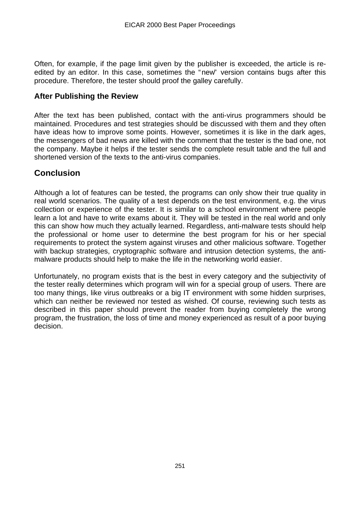Often, for example, if the page limit given by the publisher is exceeded, the article is reedited by an editor. In this case, sometimes the "new" version contains bugs after this procedure. Therefore, the tester should proof the galley carefully.

## **After Publishing the Review**

After the text has been published, contact with the anti-virus programmers should be maintained. Procedures and test strategies should be discussed with them and they often have ideas how to improve some points. However, sometimes it is like in the dark ages, the messengers of bad news are killed with the comment that the tester is the bad one, not the company. Maybe it helps if the tester sends the complete result table and the full and shortened version of the texts to the anti-virus companies.

# **Conclusion**

Although a lot of features can be tested, the programs can only show their true quality in real world scenarios. The quality of a test depends on the test environment, e.g. the virus collection or experience of the tester. It is similar to a school environment where people learn a lot and have to write exams about it. They will be tested in the real world and only this can show how much they actually learned. Regardless, anti-malware tests should help the professional or home user to determine the best program for his or her special requirements to protect the system against viruses and other malicious software. Together with backup strategies, cryptographic software and intrusion detection systems, the antimalware products should help to make the life in the networking world easier.

Unfortunately, no program exists that is the best in every category and the subjectivity of the tester really determines which program will win for a special group of users. There are too many things, like virus outbreaks or a big IT environment with some hidden surprises, which can neither be reviewed nor tested as wished. Of course, reviewing such tests as described in this paper should prevent the reader from buying completely the wrong program, the frustration, the loss of time and money experienced as result of a poor buying decision.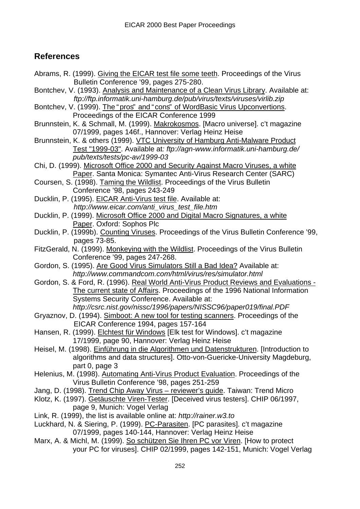Abrams, R. (1999). Giving the EICAR test file some teeth. Proceedings of the Virus

# **References**

Bulletin Conference '99, pages 275-280. Bontchev, V. (1993). Analysis and Maintenance of a Clean Virus Library. Available at: *ftp://ftp.informatik.uni-hamburg.de/pub/virus/texts/viruses/virlib.zip* Bontchev, V. (1999). The "pros" and " cons" of WordBasic Virus Upconvertions. Proceedings of the EICAR Conference 1999 Brunnstein, K. & Schmall, M. (1999). Makrokosmos. [Macro universe]. c't magazine 07/1999, pages 146f., Hannover: Verlag Heinz Heise Brunnstein, K. & others (1999). VTC University of Hamburg Anti-Malware Product Test "1999-03". Available at*: ftp://agn-www.informatik.uni-hamburg.de/ pub/texts/tests/pc-av/1999-03* Chi, D. (1999). Microsoft Office 2000 and Security Against Macro Viruses, a white Paper. Santa Monica: Symantec Anti-Virus Research Center (SARC) Coursen, S. (1998). Taming the Wildlist. Proceedings of the Virus Bulletin Conference '98, pages 243-249 Ducklin, P. (1995). EICAR Anti-Virus test file. Available at: *http://www.eicar.com/anti\_virus\_test\_file.htm* Ducklin, P. (1999). Microsoft Office 2000 and Digital Macro Signatures, a white Paper. Oxford: Sophos Plc Ducklin, P. (1999b). Counting Viruses. Proceedings of the Virus Bulletin Conference '99, pages 73-85. FitzGerald, N. (1999). Monkeying with the Wildlist. Proceedings of the Virus Bulletin Conference '99, pages 247-268. Gordon, S. (1995). Are Good Virus Simulators Still a Bad Idea? Available at: *http://www.commandcom.com/html/virus/res/simulator.html* Gordon, S. & Ford, R. (1996). Real World Anti-Virus Product Reviews and Evaluations - The current state of Affairs. Proceedings of the 1996 National Information Systems Security Conference. Available at: *http://csrc.nist.gov/nissc/1996/papers/NISSC96/paper019/final.PDF* Gryaznov, D. (1994). Simboot: A new tool for testing scanners. Proceedings of the EICAR Conference 1994, pages 157-164 Hansen, R. (1999). Elchtest für Windows [Elk test for Windows]. c't magazine 17/1999, page 90, Hannover: Verlag Heinz Heise Heisel, M. (1998). Einführung in die Algorithmen und Datenstrukturen. [Introduction to algorithms and data structures]. Otto-von-Guericke-University Magdeburg, part 0, page 3 Helenius, M. (1998). Automating Anti-Virus Product Evaluation. Proceedings of the Virus Bulletin Conference '98, pages 251-259 Jang, D. (1998). Trend Chip Away Virus – reviewer's guide. Taiwan: Trend Micro Klotz, K. (1997). Getäuschte Viren-Tester. [Deceived virus testers]. CHIP 06/1997, page 9, Munich: Vogel Verlag Link, R. (1999), the list is available online at: *http://rainer.w3.to* Luckhard, N. & Siering, P. (1999). PC-Parasiten. [PC parasites]. c't magazine 07/1999, pages 140-144, Hannover: Verlag Heinz Heise Marx, A. & Michl, M. (1999). So schützen Sie Ihren PC vor Viren. [How to protect your PC for viruses]. CHIP 02/1999, pages 142-151, Munich: Vogel Verlag